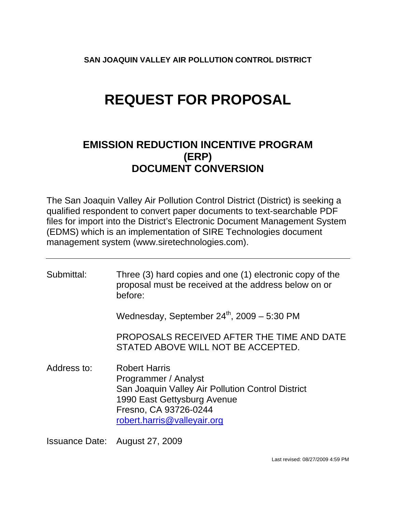**SAN JOAQUIN VALLEY AIR POLLUTION CONTROL DISTRICT** 

# **REQUEST FOR PROPOSAL**

# **EMISSION REDUCTION INCENTIVE PROGRAM (ERP) DOCUMENT CONVERSION**

The San Joaquin Valley Air Pollution Control District (District) is seeking a qualified respondent to convert paper documents to text-searchable PDF files for import into the District's Electronic Document Management System (EDMS) which is an implementation of SIRE Technologies document management system (www.siretechnologies.com).

| Submittal:  | Three (3) hard copies and one (1) electronic copy of the<br>proposal must be received at the address below on or<br>before:                                                              |
|-------------|------------------------------------------------------------------------------------------------------------------------------------------------------------------------------------------|
|             | Wednesday, September $24^{\text{th}}$ , 2009 – 5:30 PM                                                                                                                                   |
|             | PROPOSALS RECEIVED AFTER THE TIME AND DATE<br>STATED ABOVE WILL NOT BE ACCEPTED.                                                                                                         |
| Address to: | <b>Robert Harris</b><br>Programmer / Analyst<br>San Joaquin Valley Air Pollution Control District<br>1990 East Gettysburg Avenue<br>Fresno, CA 93726-0244<br>robert.harris@valleyair.org |

Issuance Date: August 27, 2009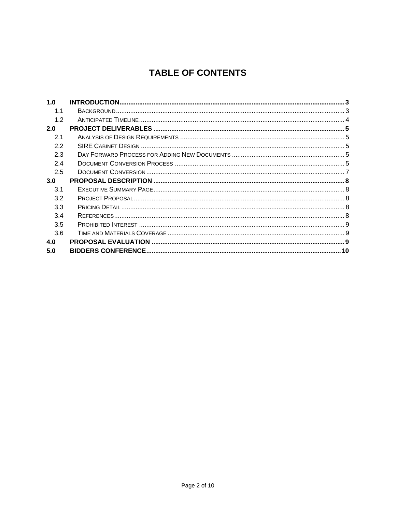# **TABLE OF CONTENTS**

| 1.0 |  |
|-----|--|
| 1.1 |  |
| 1.2 |  |
| 2.0 |  |
| 2.1 |  |
| 2.2 |  |
| 2.3 |  |
| 2.4 |  |
| 2.5 |  |
|     |  |
| 3.0 |  |
| 3.1 |  |
| 3.2 |  |
| 3.3 |  |
| 3.4 |  |
| 3.5 |  |
| 3.6 |  |
| 4.0 |  |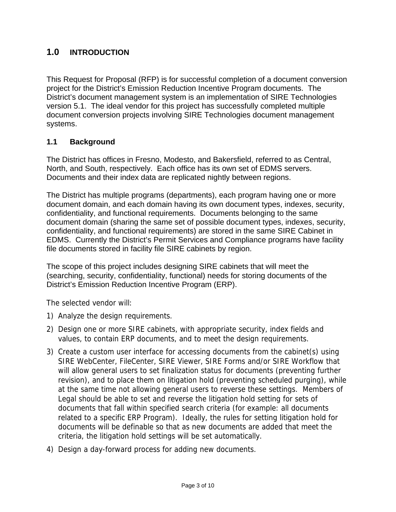# <span id="page-2-0"></span>**1.0 INTRODUCTION**

This Request for Proposal (RFP) is for successful completion of a document conversion project for the District's Emission Reduction Incentive Program documents. The District's document management system is an implementation of SIRE Technologies version 5.1. The ideal vendor for this project has successfully completed multiple document conversion projects involving SIRE Technologies document management systems.

#### **1.1 Background**

The District has offices in Fresno, Modesto, and Bakersfield, referred to as Central, North, and South, respectively. Each office has its own set of EDMS servers. Documents and their index data are replicated nightly between regions.

The District has multiple programs (departments), each program having one or more document domain, and each domain having its own document types, indexes, security, confidentiality, and functional requirements. Documents belonging to the same document domain (sharing the same set of possible document types, indexes, security, confidentiality, and functional requirements) are stored in the same SIRE Cabinet in EDMS. Currently the District's Permit Services and Compliance programs have facility file documents stored in facility file SIRE cabinets by region.

The scope of this project includes designing SIRE cabinets that will meet the (searching, security, confidentiality, functional) needs for storing documents of the District's Emission Reduction Incentive Program (ERP).

The selected vendor will:

- 1) Analyze the design requirements.
- 2) Design one or more SIRE cabinets, with appropriate security, index fields and values, to contain ERP documents, and to meet the design requirements.
- 3) Create a custom user interface for accessing documents from the cabinet(s) using SIRE WebCenter, FileCenter, SIRE Viewer, SIRE Forms and/or SIRE Workflow that will allow general users to set finalization status for documents (preventing further revision), and to place them on litigation hold (preventing scheduled purging), while at the same time not allowing general users to reverse these settings. Members of Legal should be able to set and reverse the litigation hold setting for sets of documents that fall within specified search criteria (for example: all documents related to a specific ERP Program). Ideally, the rules for setting litigation hold for documents will be definable so that as new documents are added that meet the criteria, the litigation hold settings will be set automatically.
- 4) Design a day-forward process for adding new documents.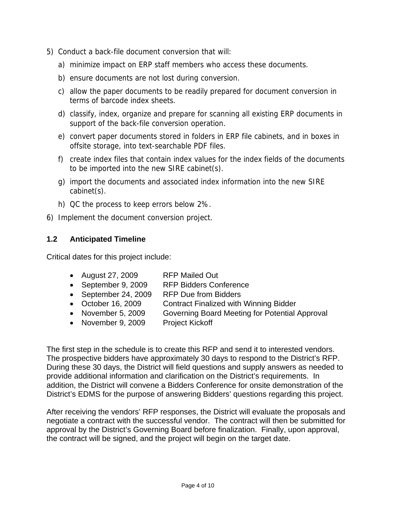- <span id="page-3-0"></span>5) Conduct a back-file document conversion that will:
	- a) minimize impact on ERP staff members who access these documents.
	- b) ensure documents are not lost during conversion.
	- c) allow the paper documents to be readily prepared for document conversion in terms of barcode index sheets.
	- d) classify, index, organize and prepare for scanning all existing ERP documents in support of the back-file conversion operation.
	- e) convert paper documents stored in folders in ERP file cabinets, and in boxes in offsite storage, into text-searchable PDF files.
	- f) create index files that contain index values for the index fields of the documents to be imported into the new SIRE cabinet(s).
	- g) import the documents and associated index information into the new SIRE cabinet(s).
	- h) QC the process to keep errors below 2%.
- 6) Implement the document conversion project.

#### **1.2 Anticipated Timeline**

Critical dates for this project include:

- August 27, 2009 RFP Mailed Out
- September 9, 2009 RFP Bidders Conference
- September 24, 2009 RFP Due from Bidders
- October 16, 2009 Contract Finalized with Winning Bidder
- November 5, 2009 Governing Board Meeting for Potential Approval
- November 9, 2009 Project Kickoff

The first step in the schedule is to create this RFP and send it to interested vendors. The prospective bidders have approximately 30 days to respond to the District's RFP. During these 30 days, the District will field questions and supply answers as needed to provide additional information and clarification on the District's requirements. In addition, the District will convene a Bidders Conference for onsite demonstration of the District's EDMS for the purpose of answering Bidders' questions regarding this project.

After receiving the vendors' RFP responses, the District will evaluate the proposals and negotiate a contract with the successful vendor. The contract will then be submitted for approval by the District's Governing Board before finalization. Finally, upon approval, the contract will be signed, and the project will begin on the target date.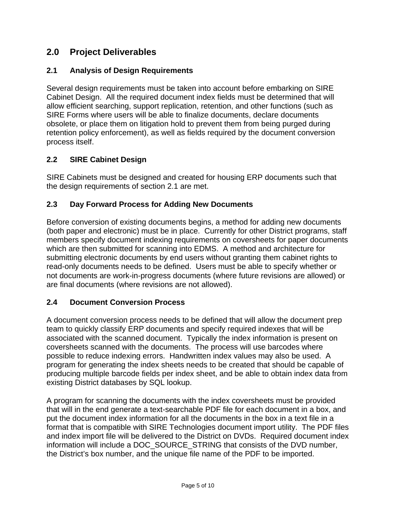# <span id="page-4-0"></span>**2.0 Project Deliverables**

# **2.1 Analysis of Design Requirements**

Several design requirements must be taken into account before embarking on SIRE Cabinet Design. All the required document index fields must be determined that will allow efficient searching, support replication, retention, and other functions (such as SIRE Forms where users will be able to finalize documents, declare documents obsolete, or place them on litigation hold to prevent them from being purged during retention policy enforcement), as well as fields required by the document conversion process itself.

# **2.2 SIRE Cabinet Design**

SIRE Cabinets must be designed and created for housing ERP documents such that the design requirements of section 2.1 are met.

#### **2.3 Day Forward Process for Adding New Documents**

Before conversion of existing documents begins, a method for adding new documents (both paper and electronic) must be in place. Currently for other District programs, staff members specify document indexing requirements on coversheets for paper documents which are then submitted for scanning into EDMS. A method and architecture for submitting electronic documents by end users without granting them cabinet rights to read-only documents needs to be defined. Users must be able to specify whether or not documents are work-in-progress documents (where future revisions are allowed) or are final documents (where revisions are not allowed).

#### **2.4 Document Conversion Process**

A document conversion process needs to be defined that will allow the document prep team to quickly classify ERP documents and specify required indexes that will be associated with the scanned document. Typically the index information is present on coversheets scanned with the documents. The process will use barcodes where possible to reduce indexing errors. Handwritten index values may also be used. A program for generating the index sheets needs to be created that should be capable of producing multiple barcode fields per index sheet, and be able to obtain index data from existing District databases by SQL lookup.

A program for scanning the documents with the index coversheets must be provided that will in the end generate a text-searchable PDF file for each document in a box, and put the document index information for all the documents in the box in a text file in a format that is compatible with SIRE Technologies document import utility. The PDF files and index import file will be delivered to the District on DVDs. Required document index information will include a DOC\_SOURCE\_STRING that consists of the DVD number, the District's box number, and the unique file name of the PDF to be imported.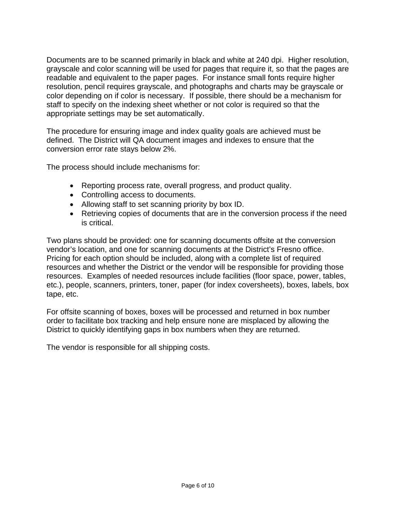Documents are to be scanned primarily in black and white at 240 dpi. Higher resolution, grayscale and color scanning will be used for pages that require it, so that the pages are readable and equivalent to the paper pages. For instance small fonts require higher resolution, pencil requires grayscale, and photographs and charts may be grayscale or color depending on if color is necessary. If possible, there should be a mechanism for staff to specify on the indexing sheet whether or not color is required so that the appropriate settings may be set automatically.

The procedure for ensuring image and index quality goals are achieved must be defined. The District will QA document images and indexes to ensure that the conversion error rate stays below 2%.

The process should include mechanisms for:

- Reporting process rate, overall progress, and product quality.
- Controlling access to documents.
- Allowing staff to set scanning priority by box ID.
- Retrieving copies of documents that are in the conversion process if the need is critical.

Two plans should be provided: one for scanning documents offsite at the conversion vendor's location, and one for scanning documents at the District's Fresno office. Pricing for each option should be included, along with a complete list of required resources and whether the District or the vendor will be responsible for providing those resources. Examples of needed resources include facilities (floor space, power, tables, etc.), people, scanners, printers, toner, paper (for index coversheets), boxes, labels, box tape, etc.

For offsite scanning of boxes, boxes will be processed and returned in box number order to facilitate box tracking and help ensure none are misplaced by allowing the District to quickly identifying gaps in box numbers when they are returned.

The vendor is responsible for all shipping costs.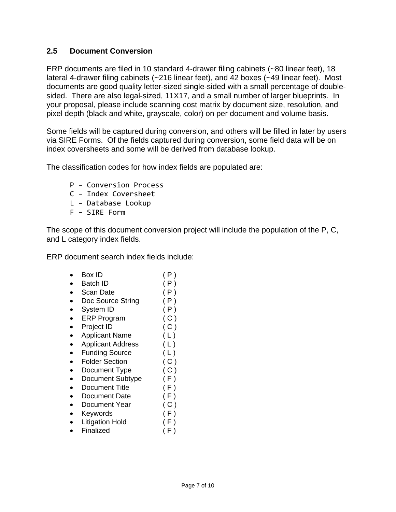#### <span id="page-6-0"></span>**2.5 Document Conversion**

ERP documents are filed in 10 standard 4-drawer filing cabinets (~80 linear feet), 18 lateral 4-drawer filing cabinets (~216 linear feet), and 42 boxes (~49 linear feet). Most documents are good quality letter-sized single-sided with a small percentage of doublesided. There are also legal-sized, 11X17, and a small number of larger blueprints. In your proposal, please include scanning cost matrix by document size, resolution, and pixel depth (black and white, grayscale, color) on per document and volume basis.

Some fields will be captured during conversion, and others will be filled in later by users via SIRE Forms. Of the fields captured during conversion, some field data will be on index coversheets and some will be derived from database lookup.

The classification codes for how index fields are populated are:

- P Conversion Process
- C Index Coversheet
- L Database Lookup
- F SIRE Form

The scope of this document conversion project will include the population of the P, C, and L category index fields.

ERP document search index fields include:

- Box ID  $(P)$
- Batch ID  $(P)$
- Scan Date (P)
- Doc Source String (P)
- System ID (P)
- ERP Program (C)
- Project ID ( C )
- Applicant Name (L)
- Applicant Address (L)
- Funding Source ( L )
- Folder Section (C)
- Document Type (C)
- Document Subtype (F)
- Document Title (F)
- Document Date (F)
- Document Year (C)
- 
- Keywords ( F )
- Litigation Hold (F) • Finalized ( F )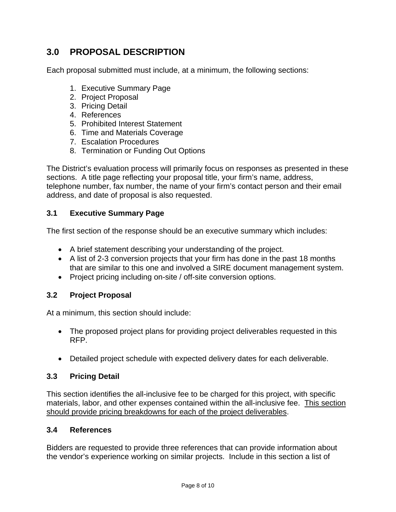# <span id="page-7-0"></span>**3.0 PROPOSAL DESCRIPTION**

Each proposal submitted must include, at a minimum, the following sections:

- 1. Executive Summary Page
- 2. Project Proposal
- 3. Pricing Detail
- 4. References
- 5. Prohibited Interest Statement
- 6. Time and Materials Coverage
- 7. Escalation Procedures
- 8. Termination or Funding Out Options

The District's evaluation process will primarily focus on responses as presented in these sections. A title page reflecting your proposal title, your firm's name, address, telephone number, fax number, the name of your firm's contact person and their email address, and date of proposal is also requested.

#### **3.1 Executive Summary Page**

The first section of the response should be an executive summary which includes:

- A brief statement describing your understanding of the project.
- A list of 2-3 conversion projects that your firm has done in the past 18 months that are similar to this one and involved a SIRE document management system.
- Project pricing including on-site / off-site conversion options.

#### **3.2 Project Proposal**

At a minimum, this section should include:

- The proposed project plans for providing project deliverables requested in this RFP.
- Detailed project schedule with expected delivery dates for each deliverable.

#### **3.3 Pricing Detail**

This section identifies the all-inclusive fee to be charged for this project, with specific materials, labor, and other expenses contained within the all-inclusive fee. This section should provide pricing breakdowns for each of the project deliverables.

#### **3.4 References**

Bidders are requested to provide three references that can provide information about the vendor's experience working on similar projects. Include in this section a list of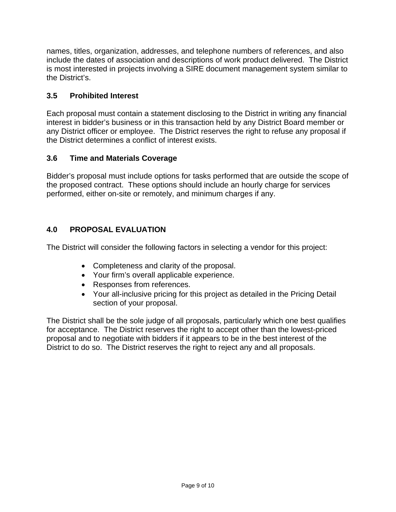<span id="page-8-0"></span>names, titles, organization, addresses, and telephone numbers of references, and also include the dates of association and descriptions of work product delivered. The District is most interested in projects involving a SIRE document management system similar to the District's.

#### **3.5 Prohibited Interest**

Each proposal must contain a statement disclosing to the District in writing any financial interest in bidder's business or in this transaction held by any District Board member or any District officer or employee. The District reserves the right to refuse any proposal if the District determines a conflict of interest exists.

# **3.6 Time and Materials Coverage**

Bidder's proposal must include options for tasks performed that are outside the scope of the proposed contract. These options should include an hourly charge for services performed, either on-site or remotely, and minimum charges if any.

# **4.0 PROPOSAL EVALUATION**

The District will consider the following factors in selecting a vendor for this project:

- Completeness and clarity of the proposal.
- Your firm's overall applicable experience.
- Responses from references.
- Your all-inclusive pricing for this project as detailed in the Pricing Detail section of your proposal.

The District shall be the sole judge of all proposals, particularly which one best qualifies for acceptance. The District reserves the right to accept other than the lowest-priced proposal and to negotiate with bidders if it appears to be in the best interest of the District to do so. The District reserves the right to reject any and all proposals.